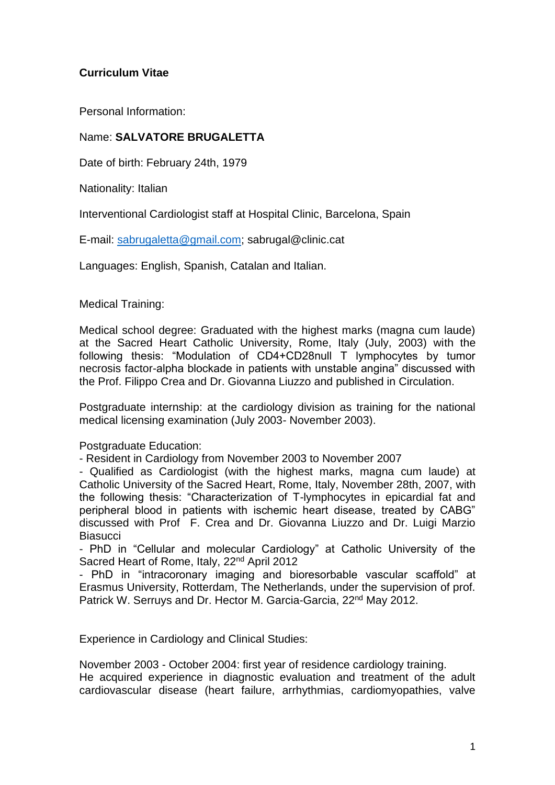## **Curriculum Vitae**

Personal Information:

## Name: **SALVATORE BRUGALETTA**

Date of birth: February 24th, 1979

Nationality: Italian

Interventional Cardiologist staff at Hospital Clinic, Barcelona, Spain

E-mail: [sabrugaletta@gmail.com;](mailto:sabrugaletta@gmail.com) sabrugal@clinic.cat

Languages: English, Spanish, Catalan and Italian.

Medical Training:

Medical school degree: Graduated with the highest marks (magna cum laude) at the Sacred Heart Catholic University, Rome, Italy (July, 2003) with the following thesis: "Modulation of CD4+CD28null T lymphocytes by tumor necrosis factor-alpha blockade in patients with unstable angina" discussed with the Prof. Filippo Crea and Dr. Giovanna Liuzzo and published in Circulation.

Postgraduate internship: at the cardiology division as training for the national medical licensing examination (July 2003- November 2003).

Postgraduate Education:

- Resident in Cardiology from November 2003 to November 2007

- Qualified as Cardiologist (with the highest marks, magna cum laude) at Catholic University of the Sacred Heart, Rome, Italy, November 28th, 2007, with the following thesis: "Characterization of T-lymphocytes in epicardial fat and peripheral blood in patients with ischemic heart disease, treated by CABG" discussed with Prof F. Crea and Dr. Giovanna Liuzzo and Dr. Luigi Marzio **Biasucci** 

- PhD in "Cellular and molecular Cardiology" at Catholic University of the Sacred Heart of Rome, Italy, 22<sup>nd</sup> April 2012

- PhD in "intracoronary imaging and bioresorbable vascular scaffold" at Erasmus University, Rotterdam, The Netherlands, under the supervision of prof. Patrick W. Serruys and Dr. Hector M. Garcia-Garcia, 22<sup>nd</sup> May 2012.

Experience in Cardiology and Clinical Studies:

November 2003 - October 2004: first year of residence cardiology training. He acquired experience in diagnostic evaluation and treatment of the adult cardiovascular disease (heart failure, arrhythmias, cardiomyopathies, valve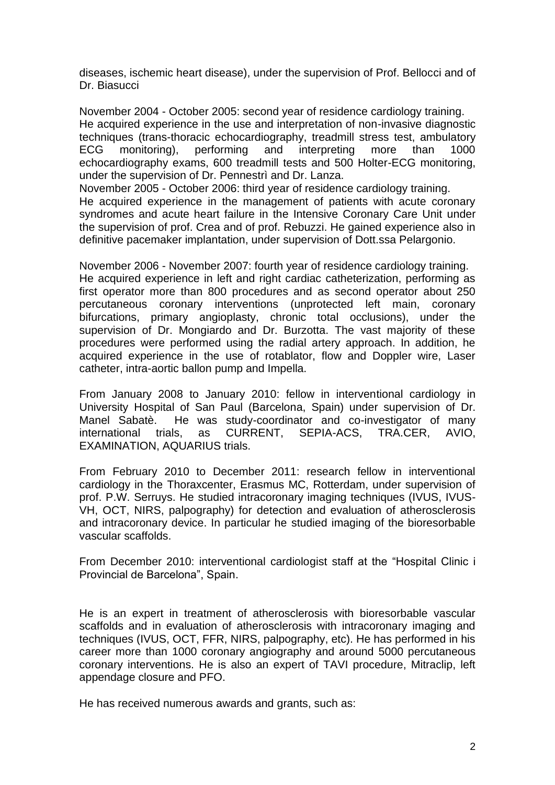diseases, ischemic heart disease), under the supervision of Prof. Bellocci and of Dr. Biasucci

November 2004 - October 2005: second year of residence cardiology training. He acquired experience in the use and interpretation of non-invasive diagnostic techniques (trans-thoracic echocardiography, treadmill stress test, ambulatory ECG monitoring), performing and interpreting more than 1000 echocardiography exams, 600 treadmill tests and 500 Holter-ECG monitoring, under the supervision of Dr. Pennestrì and Dr. Lanza.

November 2005 - October 2006: third year of residence cardiology training. He acquired experience in the management of patients with acute coronary syndromes and acute heart failure in the Intensive Coronary Care Unit under the supervision of prof. Crea and of prof. Rebuzzi. He gained experience also in definitive pacemaker implantation, under supervision of Dott.ssa Pelargonio.

November 2006 - November 2007: fourth year of residence cardiology training. He acquired experience in left and right cardiac catheterization, performing as first operator more than 800 procedures and as second operator about 250 percutaneous coronary interventions (unprotected left main, coronary bifurcations, primary angioplasty, chronic total occlusions), under the supervision of Dr. Mongiardo and Dr. Burzotta. The vast majority of these procedures were performed using the radial artery approach. In addition, he acquired experience in the use of rotablator, flow and Doppler wire, Laser catheter, intra-aortic ballon pump and Impella.

From January 2008 to January 2010: fellow in interventional cardiology in University Hospital of San Paul (Barcelona, Spain) under supervision of Dr. Manel Sabatè. He was study-coordinator and co-investigator of many international trials, as CURRENT, SEPIA-ACS, TRA.CER, AVIO, EXAMINATION, AQUARIUS trials.

From February 2010 to December 2011: research fellow in interventional cardiology in the Thoraxcenter, Erasmus MC, Rotterdam, under supervision of prof. P.W. Serruys. He studied intracoronary imaging techniques (IVUS, IVUS-VH, OCT, NIRS, palpography) for detection and evaluation of atherosclerosis and intracoronary device. In particular he studied imaging of the bioresorbable vascular scaffolds.

From December 2010: interventional cardiologist staff at the "Hospital Clinic i Provincial de Barcelona", Spain.

He is an expert in treatment of atherosclerosis with bioresorbable vascular scaffolds and in evaluation of atherosclerosis with intracoronary imaging and techniques (IVUS, OCT, FFR, NIRS, palpography, etc). He has performed in his career more than 1000 coronary angiography and around 5000 percutaneous coronary interventions. He is also an expert of TAVI procedure, Mitraclip, left appendage closure and PFO.

He has received numerous awards and grants, such as: